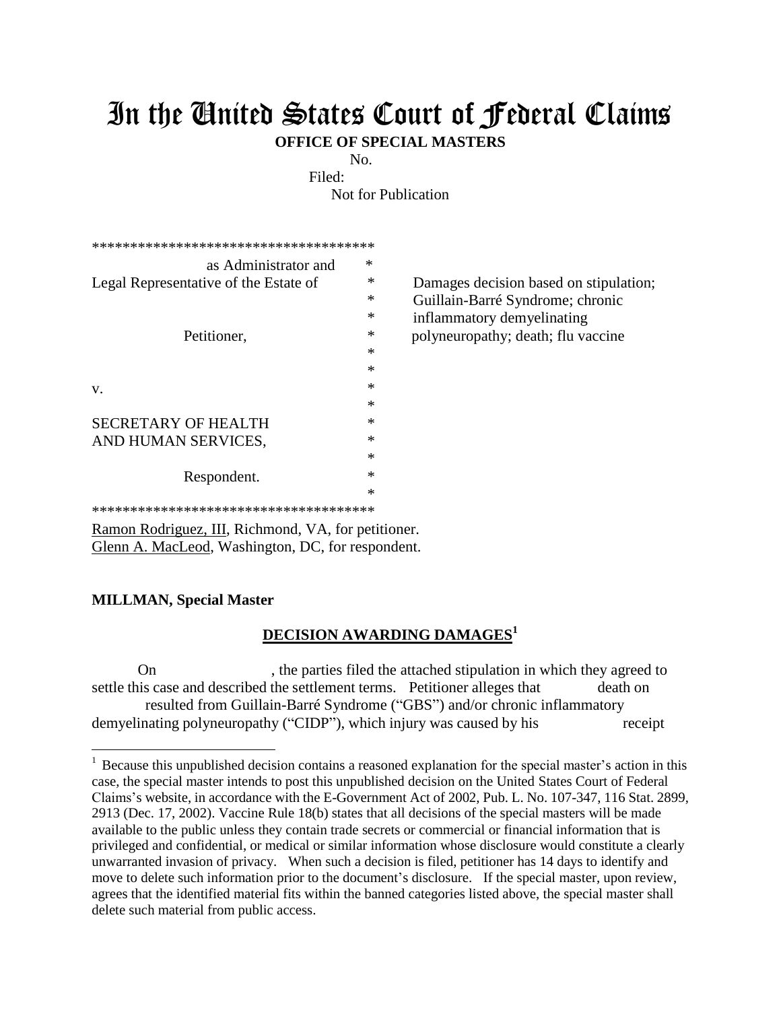## In the United States Court of Federal Claims

**OFFICE OF SPECIAL MASTERS**

No.

Filed:

Not for Publication

| ************************************** |   |
|----------------------------------------|---|
| *<br>as Administrator and              |   |
| Legal Representative of the Estate of  | ∗ |
|                                        | ∗ |
|                                        | ∗ |
| Petitioner,                            | ∗ |
|                                        | ∗ |
|                                        | ∗ |
| v.                                     | ∗ |
|                                        | * |
| SECRETARY OF HEALTH                    | ∗ |
| AND HUMAN SERVICES,                    | ∗ |
|                                        | ∗ |
| Respondent.                            | ∗ |
|                                        | ∗ |
| ************************************** |   |

Damages decision based on stipulation; Guillain-Barré Syndrome; chronic inflammatory demyelinating polyneuropathy; death; flu vaccine

Ramon Rodriguez, III, Richmond, VA, for petitioner. Glenn A. MacLeod, Washington, DC, for respondent.

## **MILLMAN, Special Master**

 $\overline{a}$ 

## **DECISION AWARDING DAMAGES<sup>1</sup>**

On the parties filed the attached stipulation in which they agreed to settle this case and described the settlement terms. Petitioner alleges that death on resulted from Guillain-Barré Syndrome ("GBS") and/or chronic inflammatory demyelinating polyneuropathy ("CIDP"), which injury was caused by his receipt

<sup>&</sup>lt;sup>1</sup> Because this unpublished decision contains a reasoned explanation for the special master's action in this case, the special master intends to post this unpublished decision on the United States Court of Federal Claims's website, in accordance with the E-Government Act of 2002, Pub. L. No. 107-347, 116 Stat. 2899, 2913 (Dec. 17, 2002). Vaccine Rule 18(b) states that all decisions of the special masters will be made available to the public unless they contain trade secrets or commercial or financial information that is privileged and confidential, or medical or similar information whose disclosure would constitute a clearly unwarranted invasion of privacy. When such a decision is filed, petitioner has 14 days to identify and move to delete such information prior to the document's disclosure. If the special master, upon review, agrees that the identified material fits within the banned categories listed above, the special master shall delete such material from public access.